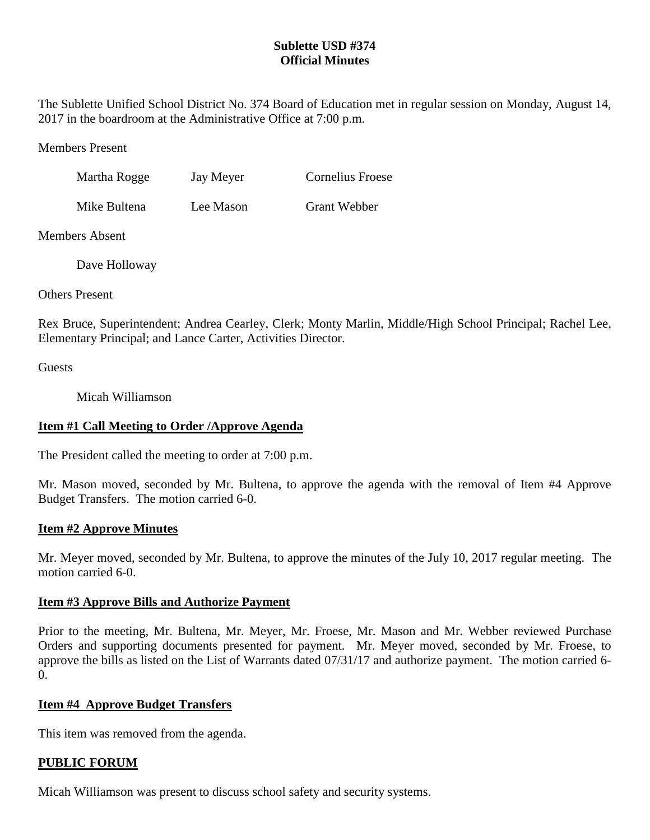### **Sublette USD #374 Official Minutes**

The Sublette Unified School District No. 374 Board of Education met in regular session on Monday, August 14, 2017 in the boardroom at the Administrative Office at 7:00 p.m.

Members Present

| Martha Rogge | Jay Meyer | <b>Cornelius Froese</b> |
|--------------|-----------|-------------------------|
|              |           |                         |

Mike Bultena Lee Mason Grant Webber

Members Absent

Dave Holloway

Others Present

Rex Bruce, Superintendent; Andrea Cearley, Clerk; Monty Marlin, Middle/High School Principal; Rachel Lee, Elementary Principal; and Lance Carter, Activities Director.

**Guests** 

Micah Williamson

# **Item #1 Call Meeting to Order /Approve Agenda**

The President called the meeting to order at 7:00 p.m.

Mr. Mason moved, seconded by Mr. Bultena, to approve the agenda with the removal of Item #4 Approve Budget Transfers. The motion carried 6-0.

## **Item #2 Approve Minutes**

Mr. Meyer moved, seconded by Mr. Bultena, to approve the minutes of the July 10, 2017 regular meeting. The motion carried 6-0.

## **Item #3 Approve Bills and Authorize Payment**

Prior to the meeting, Mr. Bultena, Mr. Meyer, Mr. Froese, Mr. Mason and Mr. Webber reviewed Purchase Orders and supporting documents presented for payment. Mr. Meyer moved, seconded by Mr. Froese, to approve the bills as listed on the List of Warrants dated 07/31/17 and authorize payment. The motion carried 6- 0.

## **Item #4 Approve Budget Transfers**

This item was removed from the agenda.

## **PUBLIC FORUM**

Micah Williamson was present to discuss school safety and security systems.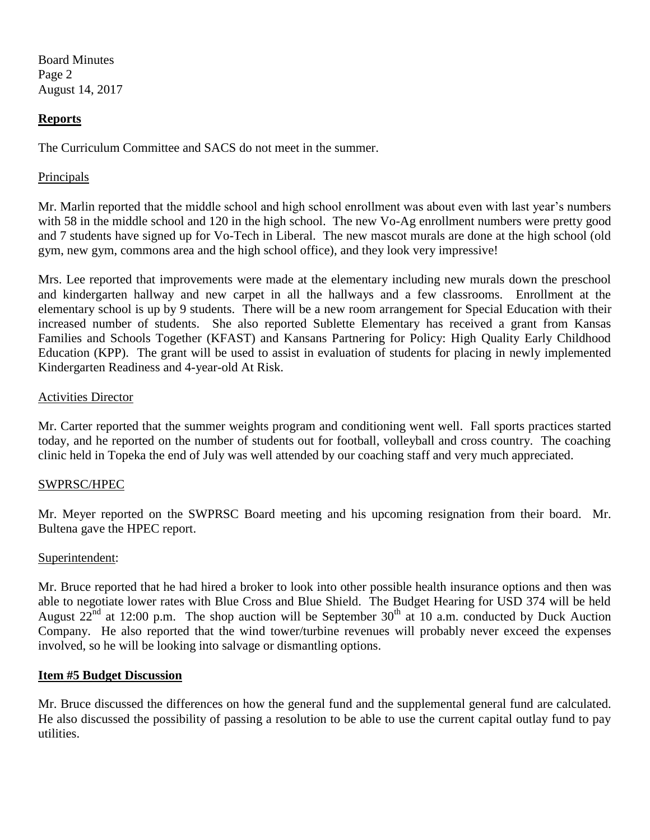Board Minutes Page 2 August 14, 2017

### **Reports**

The Curriculum Committee and SACS do not meet in the summer.

#### Principals

Mr. Marlin reported that the middle school and high school enrollment was about even with last year's numbers with 58 in the middle school and 120 in the high school. The new Vo-Ag enrollment numbers were pretty good and 7 students have signed up for Vo-Tech in Liberal. The new mascot murals are done at the high school (old gym, new gym, commons area and the high school office), and they look very impressive!

Mrs. Lee reported that improvements were made at the elementary including new murals down the preschool and kindergarten hallway and new carpet in all the hallways and a few classrooms. Enrollment at the elementary school is up by 9 students. There will be a new room arrangement for Special Education with their increased number of students. She also reported Sublette Elementary has received a grant from Kansas Families and Schools Together (KFAST) and Kansans Partnering for Policy: High Quality Early Childhood Education (KPP). The grant will be used to assist in evaluation of students for placing in newly implemented Kindergarten Readiness and 4-year-old At Risk.

#### Activities Director

Mr. Carter reported that the summer weights program and conditioning went well. Fall sports practices started today, and he reported on the number of students out for football, volleyball and cross country. The coaching clinic held in Topeka the end of July was well attended by our coaching staff and very much appreciated.

### SWPRSC/HPEC

Mr. Meyer reported on the SWPRSC Board meeting and his upcoming resignation from their board. Mr. Bultena gave the HPEC report.

#### Superintendent:

Mr. Bruce reported that he had hired a broker to look into other possible health insurance options and then was able to negotiate lower rates with Blue Cross and Blue Shield. The Budget Hearing for USD 374 will be held August  $22^{nd}$  at 12:00 p.m. The shop auction will be September  $30^{th}$  at 10 a.m. conducted by Duck Auction Company. He also reported that the wind tower/turbine revenues will probably never exceed the expenses involved, so he will be looking into salvage or dismantling options.

#### **Item #5 Budget Discussion**

Mr. Bruce discussed the differences on how the general fund and the supplemental general fund are calculated. He also discussed the possibility of passing a resolution to be able to use the current capital outlay fund to pay utilities.